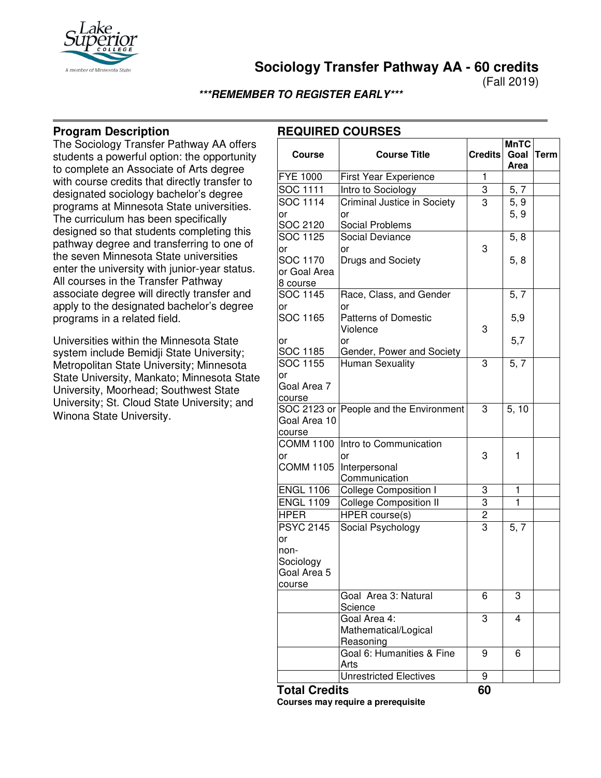

**Sociology Transfer Pathway AA - 60 credits**

(Fall 2019)

#### **\*\*\*REMEMBER TO REGISTER EARLY\*\*\***

## **Program Description**

The Sociology Transfer Pathway AA offers students a powerful option: the opportunity to complete an Associate of Arts degree with course credits that directly transfer to designated sociology bachelor's degree programs at Minnesota State universities. The curriculum has been specifically designed so that students completing this pathway degree and transferring to one of the seven Minnesota State universities enter the university with junior-year status. All courses in the Transfer Pathway associate degree will directly transfer and apply to the designated bachelor's degree programs in a related field.

Universities within the Minnesota State system include Bemidji State University; Metropolitan State University; Minnesota State University, Mankato; Minnesota State University, Moorhead; Southwest State University; St. Cloud State University; and Winona State University.

## **REQUIRED COURSES**

| <b>Course</b>        | <b>Course Title</b>                    | <b>Credits</b> | <b>MnTC</b><br>Goal | <b>Term</b> |
|----------------------|----------------------------------------|----------------|---------------------|-------------|
|                      |                                        |                | Area                |             |
| <b>FYE 1000</b>      | <b>First Year Experience</b>           | $\mathbf{1}$   |                     |             |
| SOC 1111             | Intro to Sociology                     | 3              | 5, 7                |             |
| <b>SOC 1114</b>      | Criminal Justice in Society            | 3              | 5, 9                |             |
| or                   | or                                     |                | 5, 9                |             |
| SOC 2120             | Social Problems                        |                |                     |             |
| SOC 1125             | <b>Social Deviance</b>                 |                | 5, 8                |             |
| or                   | or                                     | 3              |                     |             |
| SOC 1170             | Drugs and Society                      |                | 5, 8                |             |
| or Goal Area         |                                        |                |                     |             |
| 8 course             |                                        |                |                     |             |
| SOC 1145             | Race, Class, and Gender                |                | 5, 7                |             |
| or                   | or                                     |                |                     |             |
| <b>SOC 1165</b>      | <b>Patterns of Domestic</b>            |                | 5,9                 |             |
|                      | Violence                               | 3              |                     |             |
| or                   | or                                     |                | 5,7                 |             |
| SOC 1185<br>SOC 1155 | Gender, Power and Society              | 3              |                     |             |
| or                   | <b>Human Sexuality</b>                 |                | 5, 7                |             |
| Goal Area 7          |                                        |                |                     |             |
| course               |                                        |                |                     |             |
|                      | SOC 2123 or People and the Environment | 3              | 5.10                |             |
| Goal Area 10         |                                        |                |                     |             |
| course               |                                        |                |                     |             |
| <b>COMM 1100</b>     | Intro to Communication                 |                |                     |             |
| or                   | or                                     | 3              | 1                   |             |
| <b>COMM 1105</b>     | Interpersonal                          |                |                     |             |
|                      | Communication                          |                |                     |             |
| <b>ENGL 1106</b>     | <b>College Composition I</b>           | 3              | 1                   |             |
| <b>ENGL 1109</b>     | <b>College Composition II</b>          | 3              | $\mathbf{1}$        |             |
| <b>HPER</b>          | <b>HPER</b> course(s)                  | $\overline{2}$ |                     |             |
| <b>PSYC 2145</b>     | Social Psychology                      | $\overline{3}$ | 5, 7                |             |
| or                   |                                        |                |                     |             |
| non-                 |                                        |                |                     |             |
| Sociology            |                                        |                |                     |             |
| Goal Area 5          |                                        |                |                     |             |
| course               |                                        |                |                     |             |
|                      | Goal Area 3: Natural                   | 6              | 3                   |             |
|                      | Science                                |                |                     |             |
|                      | Goal Area 4:                           | 3              | 4                   |             |
|                      | Mathematical/Logical                   |                |                     |             |
|                      | Reasoning                              |                |                     |             |
|                      | Goal 6: Humanities & Fine<br>Arts      | 9              | 6                   |             |
|                      | <b>Unrestricted Electives</b>          | 9              |                     |             |
|                      |                                        |                |                     |             |

**Total Credits 60**

**Courses may require a prerequisite**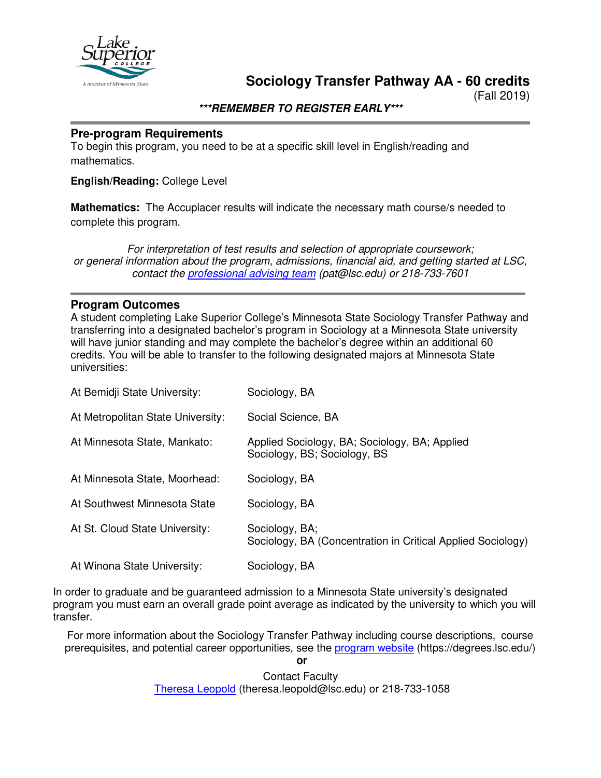

**Sociology Transfer Pathway AA - 60 credits**

(Fall 2019)

**\*\*\*REMEMBER TO REGISTER EARLY\*\*\***

#### **Pre-program Requirements**

To begin this program, you need to be at a specific skill level in English/reading and mathematics.

## **English/Reading:** College Level

**Mathematics:** The Accuplacer results will indicate the necessary math course/s needed to complete this program.

*For interpretation of test results and selection of appropriate coursework; or general information about the program, admissions, financial aid, and getting started at LSC, contact the [professional advising team](mailto:pat@lsc.edu) (pat@lsc.edu) or 218-733-7601*

#### **Program Outcomes**

A student completing Lake Superior College's Minnesota State Sociology Transfer Pathway and transferring into a designated bachelor's program in Sociology at a Minnesota State university will have junior standing and may complete the bachelor's degree within an additional 60 credits. You will be able to transfer to the following designated majors at Minnesota State universities:

| At Bemidji State University:      | Sociology, BA                                                                 |
|-----------------------------------|-------------------------------------------------------------------------------|
| At Metropolitan State University: | Social Science, BA                                                            |
| At Minnesota State, Mankato:      | Applied Sociology, BA; Sociology, BA; Applied<br>Sociology, BS; Sociology, BS |
| At Minnesota State, Moorhead:     | Sociology, BA                                                                 |
| At Southwest Minnesota State      | Sociology, BA                                                                 |
| At St. Cloud State University:    | Sociology, BA;<br>Sociology, BA (Concentration in Critical Applied Sociology) |
| At Winona State University:       | Sociology, BA                                                                 |

In order to graduate and be guaranteed admission to a Minnesota State university's designated program you must earn an overall grade point average as indicated by the university to which you will transfer.

For more information about the Sociology Transfer Pathway including course descriptions, course prerequisites, and potential career opportunities, see the [program website](https://degrees.lsc.edu/) (https://degrees.lsc.edu/)

> Contact Faculty [Theresa Leopold](mailto:theresa.leopold@lsc.edu) (theresa.leopold@lsc.edu) or 218-733-1058

**or**